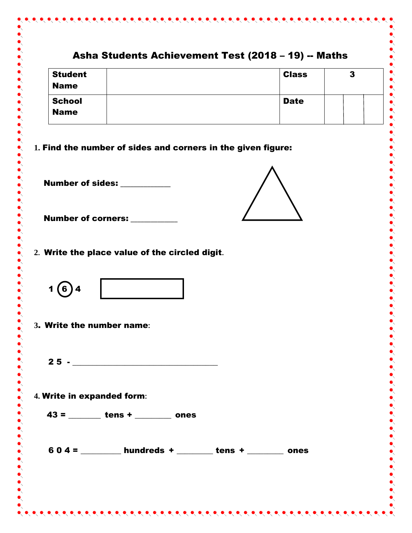## Asha Students Achievement Test (2018 – 19) -- Maths Student Class 3 Name **School** Date Name **1.** Find the number of sides and corners in the given figure: Number of sides: **\_\_\_\_\_\_\_\_\_\_\_\_\_\_\_ Number of corners: 2.** Write the place value of the circled digit**.**  $1(6)4$ **3**. Write the number name**:**  $25 -$ **4.** Write in expanded form**:** 43 = \_\_\_\_\_\_\_\_ tens + \_\_\_\_\_\_\_\_\_ ones  $604 =$  \_\_\_\_\_\_\_\_\_\_ hundreds + \_\_\_\_\_\_\_\_\_ tens + \_\_\_\_\_\_\_\_ ones

 $\bullet\bullet\bullet\bullet\bullet\bullet$ 

 $\bullet$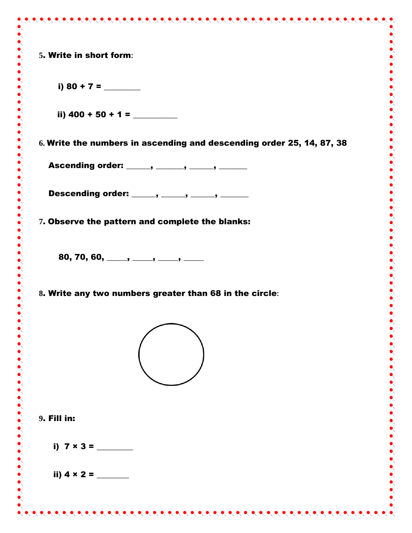**5**. Write in short form**:**

i) 80 + 7 =  $\frac{1}{2}$ ii)  $400 + 50 + 1 =$ **6.** Write the numbers in ascending and descending order 25, 14, 87, 38 Ascending order: \_\_\_\_\_, \_\_\_\_\_, \_\_\_\_\_, \_\_\_\_\_\_ Descending order: \_\_\_\_\_, \_\_\_\_\_, \_\_\_\_\_, \_\_\_\_\_\_ **7**. Observe the pattern and complete the blanks: 80, 70, 60, \_\_\_\_\_, \_\_\_\_, \_\_\_\_, \_\_\_\_ **8**. Write any two numbers greater than 68 in the circle**: 9**. Fill in: i)  $7 \times 3 =$ ii)  $4 \times 2 =$  $\bullet\hspace{-0.45ex}\bullet\hspace{-0.45ex}\bullet\hspace{-0.45ex}\bullet\hspace{-0.45ex}\bullet\hspace{-0.45ex}\bullet\hspace{-0.45ex}\bullet\hspace{-0.45ex}\bullet\hspace{-0.45ex}\bullet\hspace{-0.45ex}\bullet\hspace{-0.45ex}\bullet\hspace{-0.45ex}\bullet\hspace{-0.45ex}\bullet\hspace{-0.45ex}\bullet\hspace{-0.45ex}\bullet\hspace{-0.45ex}\bullet\hspace{-0.45ex}\bullet\hspace{-0.45ex}\bullet\hspace{-0.45ex}\bullet\hspace{-0.45ex}\bullet\hspace{-0.45ex$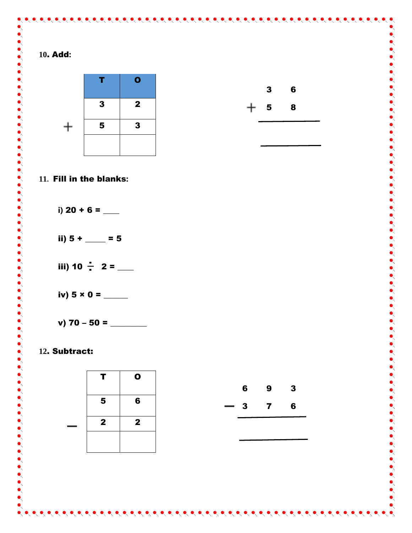

## . Subtract:

| т            | $\mathbf 0$  |
|--------------|--------------|
| 5            | 6            |
| $\mathbf{2}$ | $\mathbf{2}$ |
|              |              |

|                          | 6            | 9            | 3 |
|--------------------------|--------------|--------------|---|
| $\overline{\phantom{0}}$ | $\mathbf{3}$ | $\mathbf{7}$ | 6 |
|                          |              |              |   |